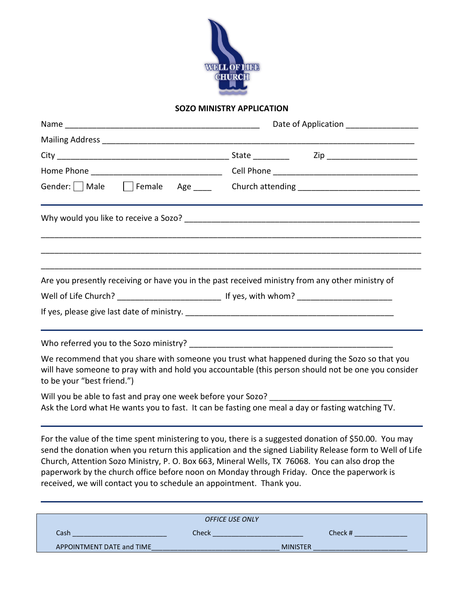

## **SOZO MINISTRY APPLICATION**

|                                                                                                                                                                                                                                                                      | Date of Application __________________                                                                                                                                                                            |
|----------------------------------------------------------------------------------------------------------------------------------------------------------------------------------------------------------------------------------------------------------------------|-------------------------------------------------------------------------------------------------------------------------------------------------------------------------------------------------------------------|
|                                                                                                                                                                                                                                                                      |                                                                                                                                                                                                                   |
|                                                                                                                                                                                                                                                                      |                                                                                                                                                                                                                   |
|                                                                                                                                                                                                                                                                      |                                                                                                                                                                                                                   |
|                                                                                                                                                                                                                                                                      | Gender: Male Female Age ____ Church attending __________________________________                                                                                                                                  |
|                                                                                                                                                                                                                                                                      |                                                                                                                                                                                                                   |
| Are you presently receiving or have you in the past received ministry from any other ministry of                                                                                                                                                                     |                                                                                                                                                                                                                   |
|                                                                                                                                                                                                                                                                      |                                                                                                                                                                                                                   |
|                                                                                                                                                                                                                                                                      |                                                                                                                                                                                                                   |
| to be your "best friend.")                                                                                                                                                                                                                                           | We recommend that you share with someone you trust what happened during the Sozo so that you<br>will have someone to pray with and hold you accountable (this person should not be one you consider               |
| Will you be able to fast and pray one week before your Sozo? ___________________<br>Ask the Lord what He wants you to fast. It can be fasting one meal a day or fasting watching TV.                                                                                 |                                                                                                                                                                                                                   |
| Church, Attention Sozo Ministry, P. O. Box 663, Mineral Wells, TX 76068. You can also drop the<br>paperwork by the church office before noon on Monday through Friday. Once the paperwork is<br>received, we will contact you to schedule an appointment. Thank you. | For the value of the time spent ministering to you, there is a suggested donation of \$50.00. You may<br>send the donation when you return this application and the signed Liability Release form to Well of Life |
|                                                                                                                                                                                                                                                                      |                                                                                                                                                                                                                   |
|                                                                                                                                                                                                                                                                      | OFFICE USE ONLY                                                                                                                                                                                                   |

Cash \_\_\_\_\_\_\_\_\_\_\_\_\_\_\_\_\_\_\_\_\_\_\_\_\_ Check \_\_\_\_\_\_\_\_\_\_\_\_\_\_\_\_\_\_\_\_\_\_\_\_ Check # \_\_\_\_\_\_\_\_\_\_\_\_\_\_ APPOINTMENT DATE and TIME\_\_\_\_\_\_\_\_\_\_\_\_\_\_\_\_\_\_\_\_\_\_\_\_\_\_\_\_\_\_\_\_\_\_ MINISTER \_\_\_\_\_\_\_\_\_\_\_\_\_\_\_\_\_\_\_\_\_\_\_\_\_